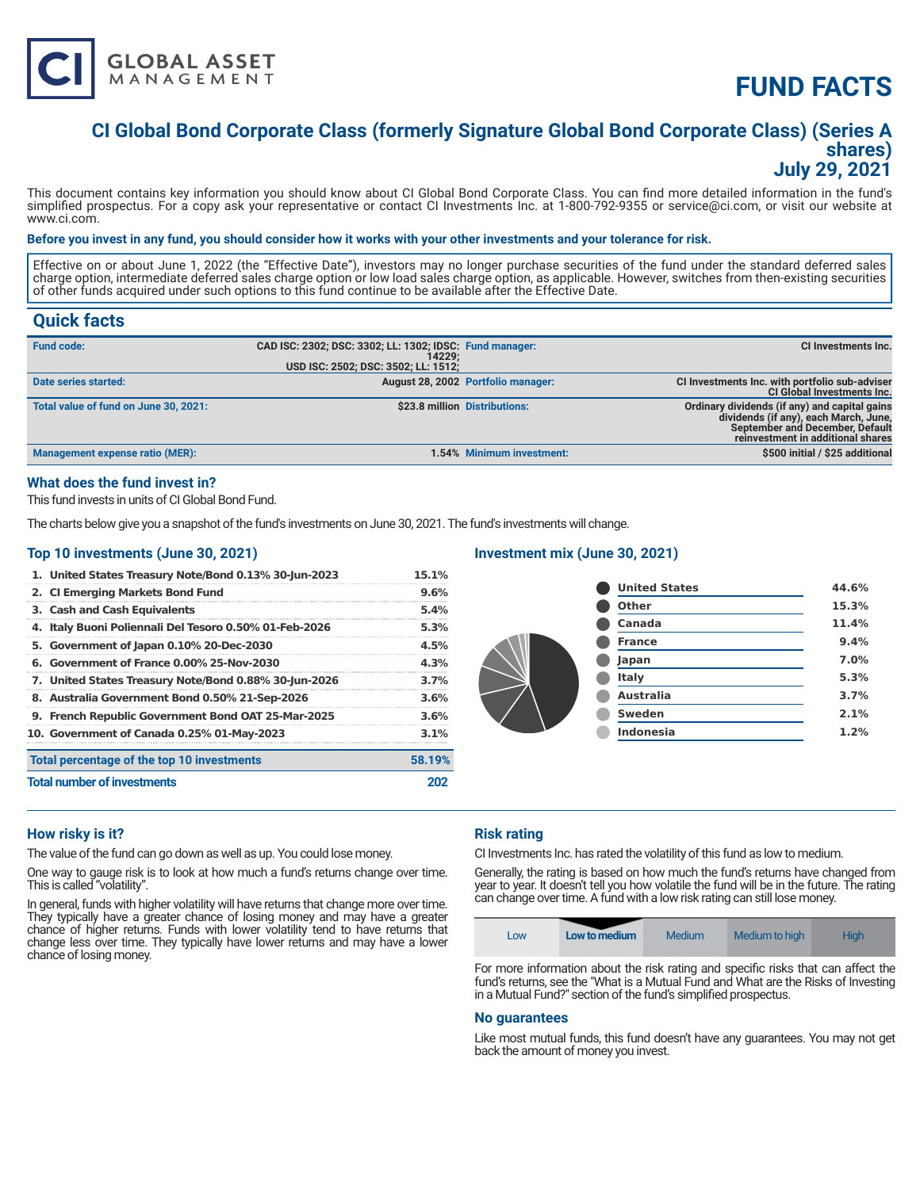

# **FUND FACTS**

# **CI Global Bond Corporate Class (formerly Signature Global Bond Corporate Class) (Series A shares) July 29, 2021**

This document contains key information you should know about CI Global Bond Corporate Class. You can find more detailed information in the fund's simplified prospectus. For a copy ask your representative or contact CI Investments Inc. at 1-800-792-9355 or service@ci.com, or visit our website at www.ci.com.

#### **Before you invest in any fund, you should consider how it works with your other investments and your tolerance for risk.**

Effective on or about June 1, 2022 (the "Effective Date"), investors may no longer purchase securities of the fund under the standard deferred sales charge option, intermediate deferred sales charge option or low load sales charge option, as applicable. However, switches from then-existing securities of other funds acquired under such options to this fund continue to be available after the Effective Date.

# **Quick facts**

| <b>Fund code:</b>                     | CAD ISC: 2302; DSC: 3302; LL: 1302; IDSC: Fund manager:<br>14229:<br>USD ISC: 2502; DSC: 3502; LL: 1512; |                                    | CI Investments Inc.                                                                                                                                            |
|---------------------------------------|----------------------------------------------------------------------------------------------------------|------------------------------------|----------------------------------------------------------------------------------------------------------------------------------------------------------------|
| Date series started:                  |                                                                                                          | August 28, 2002 Portfolio manager: | CI Investments Inc. with portfolio sub-adviser<br><b>CI Global Investments Inc.</b>                                                                            |
| Total value of fund on June 30, 2021: |                                                                                                          | \$23.8 million Distributions:      | Ordinary dividends (if any) and capital gains<br>dividends (if any), each March, June,<br>September and December, Default<br>reinvestment in additional shares |
| Management expense ratio (MER):       |                                                                                                          | 1.54% Minimum investment:          | \$500 initial / \$25 additional                                                                                                                                |

# **What does the fund invest in?**

This fund invests in units of CI Global Bond Fund.

The charts below give you a snapshot of the fund's investments on June 30, 2021. The fund's investments will change.

# **Top 10 investments (June 30, 2021)**

| 1. United States Treasury Note/Bond 0.13% 30-Jun-2023  | 15.1%  |  |
|--------------------------------------------------------|--------|--|
| 2. CI Emerging Markets Bond Fund                       | 9.6%   |  |
| 3. Cash and Cash Equivalents                           | 5.4%   |  |
| 4. Italy Buoni Poliennali Del Tesoro 0.50% 01-Feb-2026 | 5.3%   |  |
| 5. Government of Japan 0.10% 20-Dec-2030               | 4.5%   |  |
| 6. Government of France 0.00% 25-Nov-2030              | 4.3%   |  |
| 7. United States Treasury Note/Bond 0.88% 30-Jun-2026  | 3.7%   |  |
| 8. Australia Government Bond 0.50% 21-Sep-2026         | 3.6%   |  |
| 9. French Republic Government Bond OAT 25-Mar-2025     | 3.6%   |  |
| 10. Government of Canada 0.25% 01-May-2023             | 3.1%   |  |
| Total percentage of the top 10 investments             | 58.19% |  |
| <b>Total number of investments</b>                     |        |  |

### **Investment mix (June 30, 2021)**

| <b>United States</b> | 44.6% |
|----------------------|-------|
| <b>Other</b>         | 15.3% |
| Canada               | 11.4% |
| <b>France</b>        | 9.4%  |
| Japan                | 7.0%  |
| <b>Italy</b>         | 5.3%  |
| <b>Australia</b>     | 3.7%  |
| <b>Sweden</b>        | 2.1%  |
| <b>Indonesia</b>     | 1.2%  |
|                      |       |

# **How risky is it?**

The value of the fund can go down as well as up. You could lose money.

One way to gauge risk is to look at how much a fund's returns change over time. This is called "volatility".

In general, funds with higher volatility will have returns that change more over time. They typically have a greater chance of losing money and may have a greater chance of higher returns. Funds with lower volatility tend to have returns that change less over time. They typically have lower returns and may have a lower chance of losing money.

# **Risk rating**

CI Investments Inc. has rated the volatility of this fund as low to medium.

Generally, the rating is based on how much the fund's returns have changed from year to year. It doesn't tell you how volatile the fund will be in the future. The rating can change over time. A fund with a low risk rating can still lose money.

| Low | Low to medium | Medium | Medium to high | <b>High</b> |
|-----|---------------|--------|----------------|-------------|
|-----|---------------|--------|----------------|-------------|

For more information about the risk rating and specific risks that can affect the fund's returns, see the "What is a Mutual Fund and What are the Risks of Investing in a Mutual Fund?" section of the fund's simplified prospectus.

#### **No guarantees**

Like most mutual funds, this fund doesn't have any guarantees. You may not get back the amount of money you invest.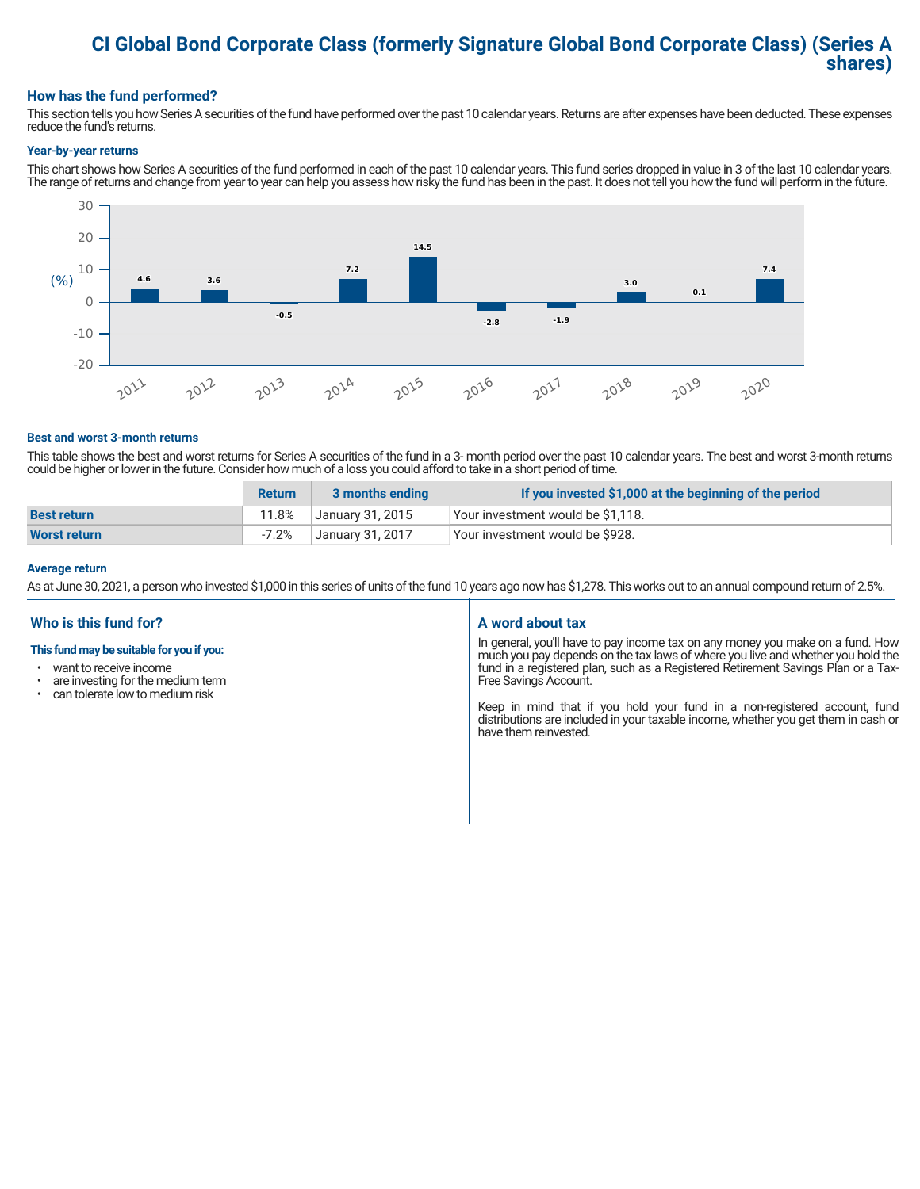# **CI Global Bond Corporate Class (formerly Signature Global Bond Corporate Class) (Series A shares)**

### **How has the fund performed?**

This section tells you how Series A securities of the fund have performed over the past 10 calendar years. Returns are after expenses have been deducted. These expenses reduce the fund's returns.

#### **Year-by-year returns**

This chart shows how Series A securities of the fund performed in each of the past 10 calendar years. This fund series dropped in value in 3 of the last 10 calendar years. The range of returns and change from year to year can help you assess how risky the fund has been in the past. It does not tell you how the fund will perform in the future.



#### **Best and worst 3-month returns**

This table shows the best and worst returns for Series A securities of the fund in a 3- month period over the past 10 calendar years. The best and worst 3-month returns could be higher or lower in the future. Consider how much of a loss you could afford to take in a short period of time.

|                    | <b>Return</b> | 3 months ending  | If you invested \$1,000 at the beginning of the period |
|--------------------|---------------|------------------|--------------------------------------------------------|
| <b>Best return</b> | 11.8%         | January 31, 2015 | Your investment would be \$1,118.                      |
| Worst return       | $-7.2%$       | January 31, 2017 | Your investment would be \$928.                        |

#### **Average return**

As at June 30, 2021, a person who invested \$1,000 in this series of units of the fund 10 years ago now has \$1,278. This works out to an annual compound return of 2.5%.

# **Who is this fund for?**

#### **This fund may be suitable for you if you:**

- want to receive income
- are investing for the medium term<br>• can telerate low to medium risk
- can tolerate low to medium risk

#### **A word about tax**

In general, you'll have to pay income tax on any money you make on a fund. How much you pay depends on the tax laws of where you live and whether you hold the fund in a registered plan, such as a Registered Retirement Savings Plan or a Tax-Free Savings Account.

Keep in mind that if you hold your fund in a non-registered account, fund distributions are included in your taxable income, whether you get them in cash or have them reinvested.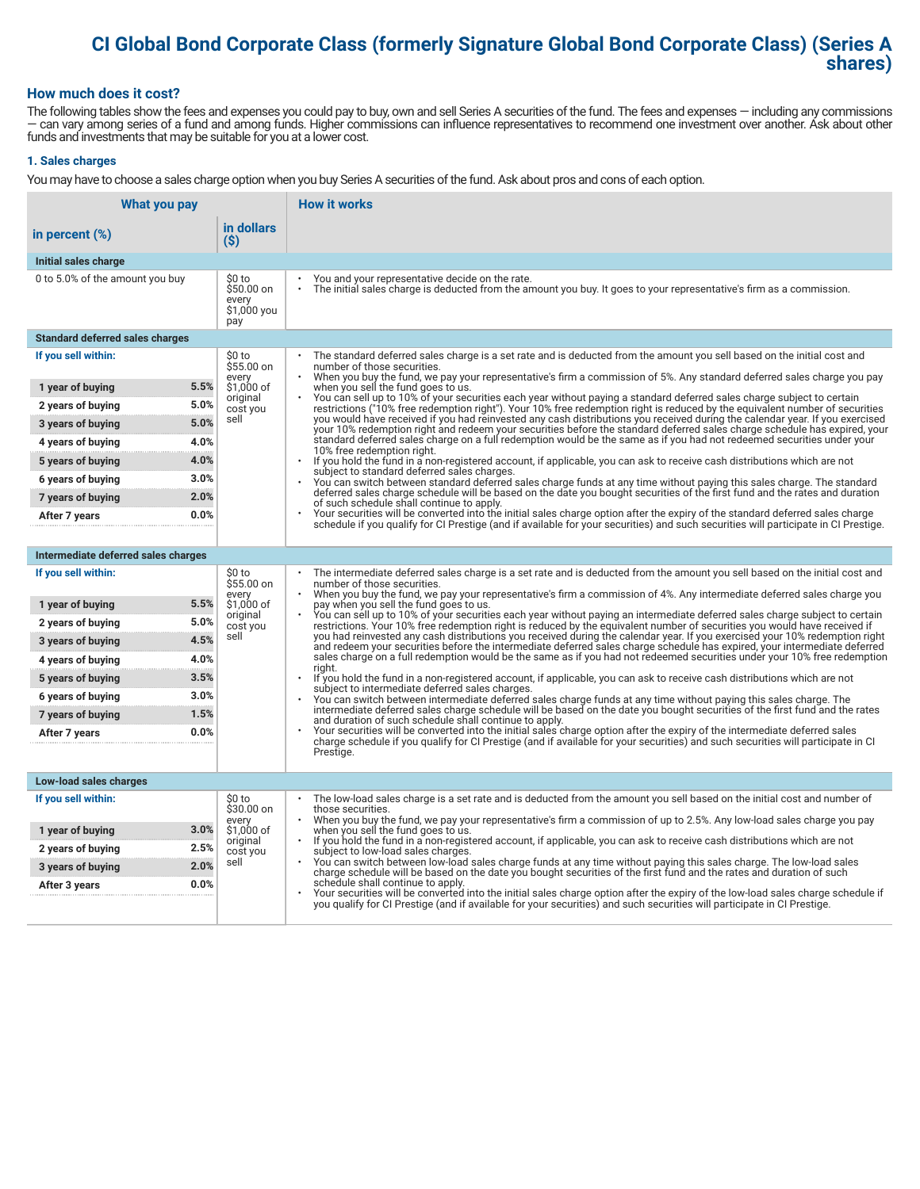# **CI Global Bond Corporate Class (formerly Signature Global Bond Corporate Class) (Series A shares)**

### **How much does it cost?**

The following tables show the fees and expenses you could pay to buy, own and sell Series A securities of the fund. The fees and expenses — including any commissions — can vary among series of a fund and among funds. Higher commissions can influence representatives to recommend one investment over another. Ask about other funds and investments that may be suitable for you at a lower cost.

#### **1. Sales charges**

You may have to choose a sales charge option when you buy Series A securities of the fund. Ask about pros and cons of each option.

| What you pay                           |                                                     | <b>How it works</b>                                                                                                                                                                                                                                                                   |
|----------------------------------------|-----------------------------------------------------|---------------------------------------------------------------------------------------------------------------------------------------------------------------------------------------------------------------------------------------------------------------------------------------|
| in percent (%)                         | in dollars<br>$(\$)$                                |                                                                                                                                                                                                                                                                                       |
| Initial sales charge                   |                                                     |                                                                                                                                                                                                                                                                                       |
| 0 to 5.0% of the amount you buy        | \$0 to<br>\$50.00 on<br>every<br>\$1,000 you<br>pay | You and your representative decide on the rate.<br>$\bullet$<br>The initial sales charge is deducted from the amount you buy. It goes to your representative's firm as a commission.                                                                                                  |
| <b>Standard deferred sales charges</b> |                                                     |                                                                                                                                                                                                                                                                                       |
| If you sell within:                    | \$0 to<br>\$55.00 on                                | The standard deferred sales charge is a set rate and is deducted from the amount you sell based on the initial cost and<br>number of those securities.                                                                                                                                |
| 1 year of buying                       | every<br>5.5%<br>\$1,000 of                         | When you buy the fund, we pay your representative's firm a commission of 5%. Any standard deferred sales charge you pay<br>when you sell the fund goes to us.                                                                                                                         |
| 2 years of buying                      | original<br>5.0%<br>cost you                        | You can sell up to 10% of your securities each year without paying a standard deferred sales charge subject to certain<br>restrictions ("10% free redemption right"). Your 10% free redemption right is reduced by the equivalent number of securities                                |
| 3 years of buying                      | sell<br>5.0%                                        | you would have received if you had reinvested any cash distributions you received during the calendar year. If you exercised<br>your 10% redemption right and redeem your securities before the standard deferred sales charge schedule has expired, your                             |
| 4 years of buying                      | 4.0%                                                | standard deferred sales charge on a full redemption would be the same as if you had not redeemed securities under your<br>10% free redemption right.                                                                                                                                  |
| 5 years of buying                      | 4.0%                                                | $\bullet$<br>If you hold the fund in a non-registered account, if applicable, you can ask to receive cash distributions which are not<br>subject to standard deferred sales charges.                                                                                                  |
| 6 years of buying                      | 3.0%                                                | You can switch between standard deferred sales charge funds at any time without paying this sales charge. The standard                                                                                                                                                                |
| 7 years of buying                      | 2.0%                                                | deferred sales charge schedule will be based on the date you bought securities of the first fund and the rates and duration<br>of such schedule shall continue to apply.                                                                                                              |
| After 7 years                          | 0.0%                                                | Your securities will be converted into the initial sales charge option after the expiry of the standard deferred sales charge<br>schedule if you qualify for CI Prestige (and if available for your securities) and such securities will participate in CI Prestige.                  |
|                                        |                                                     |                                                                                                                                                                                                                                                                                       |
| Intermediate deferred sales charges    |                                                     |                                                                                                                                                                                                                                                                                       |
| If you sell within:                    | \$0 to<br>\$55.00 on<br>every                       | The intermediate deferred sales charge is a set rate and is deducted from the amount you sell based on the initial cost and<br>number of those securities.<br>When you buy the fund, we pay your representative's firm a commission of 4%. Any intermediate deferred sales charge you |
| 1 year of buying                       | 5.5%<br>\$1,000 of<br>original                      | pay when you sell the fund goes to us.<br>You can sell up to 10% of your securities each year without paying an intermediate deferred sales charge subject to certain                                                                                                                 |
| 2 years of buying                      | 5.0%<br>cost you                                    | restrictions. Your 10% free redemption right is reduced by the equivalent number of securities you would have received if                                                                                                                                                             |
| 3 years of buying                      | sell<br>4.5%                                        | you had reinvested any cash distributions you received during the calendar year. If you exercised your 10% redemption right<br>and redeem your securities before the intermediate deferred sales charge schedule has expired, your intermediate deferred                              |
| 4 years of buying                      | 4.0%                                                | sales charge on a full redemption would be the same as if you had not redeemed securities under your 10% free redemption<br>riaht.                                                                                                                                                    |
| 5 years of buying                      | 3.5%                                                | If you hold the fund in a non-registered account, if applicable, you can ask to receive cash distributions which are not<br>subject to intermediate deferred sales charges.                                                                                                           |
| 6 years of buying                      | 3.0%                                                | You can switch between intermediate deferred sales charge funds at any time without paying this sales charge. The<br>intermediate deferred sales charge schedule will be based on the date you bought securities of the first fund and the rates                                      |
| 7 years of buying                      | 1.5%                                                | and duration of such schedule shall continue to apply.<br>Your securities will be converted into the initial sales charge option after the expiry of the intermediate deferred sales                                                                                                  |
| After 7 years                          | 0.0%                                                | charge schedule if you qualify for CI Prestige (and if available for your securities) and such securities will participate in CI                                                                                                                                                      |
|                                        |                                                     | Prestige.                                                                                                                                                                                                                                                                             |
| Low-load sales charges                 |                                                     |                                                                                                                                                                                                                                                                                       |
| If you sell within:                    | \$0 to<br>\$30.00 on                                | The low-load sales charge is a set rate and is deducted from the amount you sell based on the initial cost and number of<br>those securities.                                                                                                                                         |
| 1 year of buying                       | every<br>3.0%<br>\$1,000 of                         | When you buy the fund, we pay your representative's firm a commission of up to 2.5%. Any low-load sales charge you pay<br>when you sell the fund goes to us.                                                                                                                          |
| 2 years of buying                      | original<br>2.5%<br>cost you                        | If you hold the fund in a non-registered account, if applicable, you can ask to receive cash distributions which are not<br>$\bullet$<br>subject to low-load sales charges.                                                                                                           |
| 3 years of buying                      | sell<br>2.0%                                        | You can switch between low-load sales charge funds at any time without paying this sales charge. The low-load sales<br>charge schedule will be based on the date you bought securities of the first fund and the rates and duration of such                                           |
| After 3 years                          | 0.0%                                                | schedule shall continue to apply.<br>Your securities will be converted into the initial sales charge option after the expiry of the low-load sales charge schedule if                                                                                                                 |
|                                        |                                                     | you qualify for CI Prestige (and if available for your securities) and such securities will participate in CI Prestige.                                                                                                                                                               |